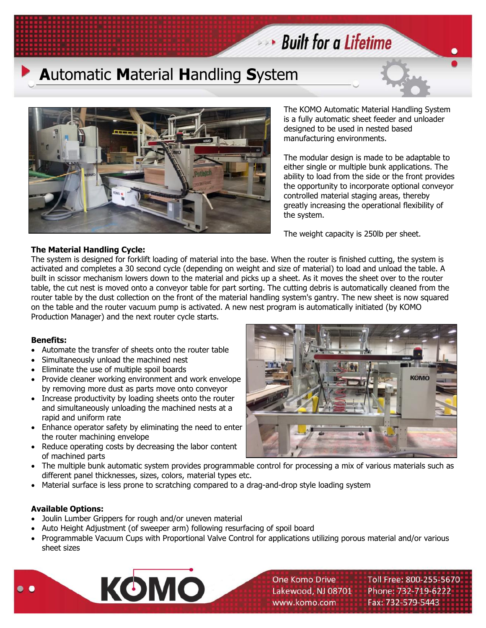



The KOMO Automatic Material Handling System is a fully automatic sheet feeder and unloader designed to be used in nested based manufacturing environments.

The modular design is made to be adaptable to either single or multiple bunk applications. The ability to load from the side or the front provides the opportunity to incorporate optional conveyor controlled material staging areas, thereby greatly increasing the operational flexibility of the system.

The weight capacity is 250lb per sheet.

## **The Material Handling Cycle:**

The system is designed for forklift loading of material into the base. When the router is finished cutting, the system is activated and completes a 30 second cycle (depending on weight and size of material) to load and unload the table. A built in scissor mechanism lowers down to the material and picks up a sheet. As it moves the sheet over to the router table, the cut nest is moved onto a conveyor table for part sorting. The cutting debris is automatically cleaned from the router table by the dust collection on the front of the material handling system's gantry. The new sheet is now squared on the table and the router vacuum pump is activated. A new nest program is automatically initiated (by KOMO Production Manager) and the next router cycle starts.

## **Benefits:**

- Automate the transfer of sheets onto the router table
- Simultaneously unload the machined nest
- Eliminate the use of multiple spoil boards
- Provide cleaner working environment and work envelope by removing more dust as parts move onto conveyor
- Increase productivity by loading sheets onto the router and simultaneously unloading the machined nests at a rapid and uniform rate
- Enhance operator safety by eliminating the need to enter the router machining envelope
- Reduce operating costs by decreasing the labor content of machined parts
- The multiple bunk automatic system provides programmable control for processing a mix of various materials such as different panel thicknesses, sizes, colors, material types etc.
- Material surface is less prone to scratching compared to a drag-and-drop style loading system

## **Available Options:**

- Joulin Lumber Grippers for rough and/or uneven material
- Auto Height Adjustment (of sweeper arm) following resurfacing of spoil board
- Programmable Vacuum Cups with Proportional Valve Control for applications utilizing porous material and/or various sheet sizes





Toll Free: 800-255-5670 Phone: 732-719-6222 Fax: 732-579-5443